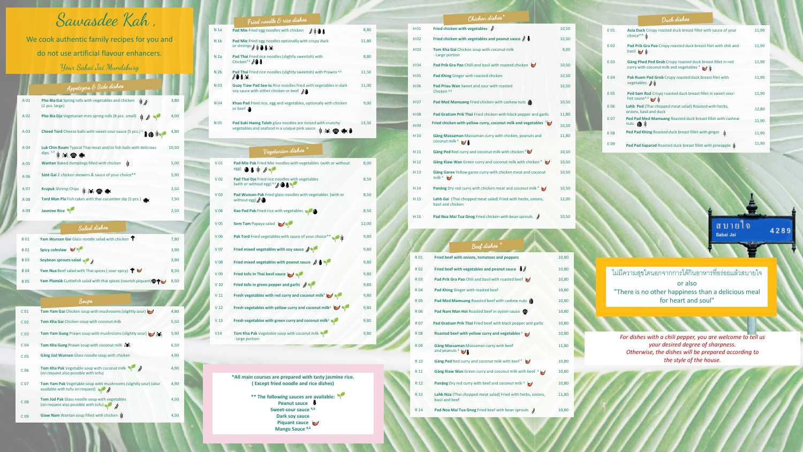|      | Appetizers $\mathcal E$ Side dishes                                                    |       |
|------|----------------------------------------------------------------------------------------|-------|
| A 01 | Pho Bia Gai Spring rolls with vegetables and chicken<br>\$ \$<br>(2 pcs. large)        | 3,80  |
| A 02 | Pho Bia Dje Vegetarian mini spring rolls (8 pcs. small)<br><b>SEC</b>                  | 4,00  |
| A 03 | Cheed Tord Cheese balls with sweet-sour sauce (5 pcs.) <sup>6</sup><br>IO *            | 4,80  |
| A 04 | Luk Chin Ruam Typical Thai meat and/or fish balls with delicious<br>dips. 6,4 \$ 灸 ● ● | 10,50 |
| A 05 | Ý<br>Wantan Baked dumplings filled with chicken                                        | 5,00  |
| A 06 | Saté Gai 2 chicken skewers & sauce of your choice**                                    | 5,90  |
| A 07 | Krupuk Shrimp Chips \$ 50                                                              | 3,50  |
| A 08 | Tord Man Pla Fish cakes with thai cucumber dip (5 pcs.) $\bigotimes$                   | 7,50  |
| A 09 | <b>Jasmine Rice</b>                                                                    | 2,50  |

### Salad dishes

| <b>B01</b> | Yam Wunsen Gai Glass noodle salad with chicken T                                   | 7,80 |
|------------|------------------------------------------------------------------------------------|------|
| <b>B02</b> | Spicy coleslaw V                                                                   | 3,90 |
| <b>B03</b> | Soybean sprouts salad $\sqrt{\theta}$                                              | 3,90 |
| <b>B04</b> | Yam Nua Beef salad with Thai spices (sour-spicy) $\blacktriangledown$              | 8,50 |
| <b>B05</b> | Yam Plamük Cuttlefish salad with thai spices (sourish-piquant) $\bigcirc \bigcirc$ | 8,50 |

| C <sub>01</sub> | Tom Yam Gai Chicken soup with mushrooms (slightly sour)                                                        | 4,80 |
|-----------------|----------------------------------------------------------------------------------------------------------------|------|
| C <sub>02</sub> | Tom Kha Gai Chicken soup with coconut milk                                                                     | 5,50 |
| C <sub>03</sub> | Tom Yam Gung Prawn soup with mushrooms (slightly sour)                                                         | 5,90 |
| C <sub>04</sub> | Tom Kha Gung Prawn soup with coconut milk $\frac{1}{2}$ .                                                      | 6,50 |
| C <sub>05</sub> | Gäng Jüd Wunsen Glass noodle soup with chicken                                                                 | 4,90 |
| C <sub>06</sub> | <b>Tom Kha Pak</b> Vegetable soup with coconut milk $\sqrt{\theta}$<br>(on request also possible with tofu)    | 4,90 |
| C <sub>07</sub> | Tom Yam Pak Vegetable soup with mushrooms (slightly sour) (also<br>available with tofu on request) $\bullet$ 8 | 4,90 |
| C <sub>08</sub> | <b>Tom Jüd Pak Glass noodle soup with vegetables</b><br>(on request also possible with tofu)                   | 4,50 |
| C <sub>09</sub> | Giaw Nam Wantan soup filled with chicken \                                                                     | 4,50 |
|                 |                                                                                                                |      |

8,00

8,50

V 03 **Pad Wunsen Pak** Fried glass noodles with vegetables (with or without egg)

8,50

|                 | Fried noodle & rice dishes                                                                                             |       |
|-----------------|------------------------------------------------------------------------------------------------------------------------|-------|
| N <sub>1a</sub> | Pad Mie Fried egg noodles with chicken<br>$\ell$ i 0 8                                                                 | 8,80  |
| N <sub>1b</sub> | Pad Mie Fried egg noodles optionally with crispy duck<br>or shrimps ● \$● ● 美                                          | 11,80 |
| N <sub>2a</sub> | Pad Thai Fried rice noodles (slightly sweetish) with<br>Chicken <sup>4,6</sup> $\partial$ <b>8</b>                     | 8,80  |
| N <sub>2b</sub> | Pad Thai Fried rice noodles (slightly sweetish) with Prawns <sup>4,6</sup><br>808≫                                     | 11,50 |
| N 03            | Guay Tiaw Pad See-Iu Rice noodles fried with vegetables in dark<br>soy sauce with either chicken or beef $\mathcal{J}$ | 11,00 |
| N 04            | Khao Pad Fried rice, egg and vegetables, optionally with chicken<br>or beef $\triangle$                                | 9,00  |
| N 05            | Pad Suki Haeng Taleh glass noodles are tossed with crunchy<br>vegetables and seafood in a unique pink sauce. \$ 50     | 13,50 |
|                 | Vegetarian dishes                                                                                                      |       |
| V <sub>01</sub> | Pad Mie Pak Fried Mie noodles with vegetables (with or without<br>$\cos$ $\theta$ $\sin$ $\theta$                      | 8,00  |
| V <sub>02</sub> | Pad Thai Dje Fried rice noodles with vegetables<br>(with or without egg) $6.48$ $\bullet$ $\bullet$                    | 8,50  |

9,80

- V 04 **Kao Pad Pak** Fried rice with vegetables **10 Community** 8,50
- V 05 **Som Tam** Papaya salad 12,00
- **Pak Tord** Fried vegetables with sauce of your choice\*\* 9,80
- V 07 **Fried mixed vegetables with soy sauce** 9,80
- V 08 **Fried mixed vegetables with peanut sauce** 9,80
- V 09 **Fried tofu in Thai basil sauce** 9,80
- V 10 **Fried tofu in green pepper and garlic** 9,80
- V 11 **Fresh vegetables with red curry and coconut milk** <sup>4</sup> 9,80
- V 12 **Fresh vegetables with yellow curry and coconut milk** <sup>4</sup> 9,80
- V 13 **Fresh vegetables with green curry and coconut milk** <sup>4</sup> 9,80
- V14 **Tom Kha Pak** Vegetable soup with coconut milk  $\sqrt{\phantom{a}}$  large portion

11,80

8,80

 $11,50$ 

11,00

9,00

# Sawasdee Kah ,

We cook authentic family recipes for you and do not use artificial flavour enhancers .

# Your Sabai Jai Mundsburg

**SALE BOOK BOOKS** 

|      | Duck dishes                                                                                                      |       |
|------|------------------------------------------------------------------------------------------------------------------|-------|
| E 01 | Asia Duck Crispy roasted duck breast fillet with sauce of your<br>choice** *                                     | 11,90 |
| E 02 | Pad Prik Gra Pao Crispy roasted duck breast filet with chili and<br>basil $\sim$                                 | 11,90 |
| E 03 | Gäng Phed Ped Grob Crispy roasted duck breast fillet in red<br>curry with coconut milk and vegetables $4 \times$ | 11,90 |
| E 04 | Pak Ruam Ped Grob Crispy roasted duck breast filet with<br>vegetables $\beta$ &                                  | 11,90 |
| E 05 | Ped Sam Rod Crispy roasted duck breast fillet in sweet-sour-<br>hot sauce <sup>4,6</sup>                         | 11,90 |
| E 06 | Lahb Ped (Thai chopped meat salad) Roasted with herbs,<br>onions, basil and duck                                 | 12,80 |
| E 07 | Ped Pad Med Mamuang Roasted duck breast fillet with cashew<br>nuts (B 3                                          | 11,90 |
| E 08 | Ped Pad Khing Roasted duck breast fillet with ginger<br>Ý                                                        | 11,90 |
| E 09 | Ped Pad Saparod Roasted duck breast fillet with pineapple \$                                                     | 11,90 |

#### **\*All main courses are prepared with tasty jasmine rice. ( Except fried noodle and rice dishes )**

**\*\* The following sauces are available: Peanut sauce Sweet -sour sauce 4,6 Dark soy sauce Piquant sauce Mango Sauce 4,6**

### $\overline{\mathcal{C}}$ hicken dishes<sup>\*</sup>

| H 01            | Fried chicken with vegetables $\beta$                                              | 10,50 |
|-----------------|------------------------------------------------------------------------------------|-------|
| H <sub>02</sub> | Fried chicken with vegetables and peanut sauce $\oint$ 8                           | 10,50 |
| H <sub>03</sub> | Tom Kha Gai Chicken soup with coconut milk<br>- Large portion                      | 9,00  |
| H <sub>04</sub> | Pad Prik Gra Pao Chilli and basil with roasted chicken                             | 10,50 |
| H <sub>05</sub> | Pad Khing Ginger with roasted chicken                                              | 10,50 |
| H 06            | Pad Priau Wan Sweet and sour with roasted<br>Chicken <sup>4,6</sup>                | 10,50 |
| H <sub>07</sub> | Pad Med Mamuang Fried chicken with cashew nuts (                                   | 10,50 |
| H <sub>08</sub> | Pad Gratiam Prik Thai Fried chicken with black pepper and garlic                   | 11,80 |
| H <sub>09</sub> | Fried chicken with yellow curry, coconut milk and vegetables $4\lambda$            | 10,50 |
| H 10            | Gäng Massaman Massaman curry with chicken, peanuts and<br>coconut milk $4 \bigvee$ | 11,80 |
| H 11            | Gäng Ped Red curry and coconut milk with chicken $4\mathcal{C}$                    | 10,50 |
| H <sub>12</sub> | <b>Gäng Kiaw Wan</b> Green curry and coconut milk with chicken $4 \times 4$        | 10,50 |
| H <sub>13</sub> | Gäng Garee Yellow garee curry with chicken meat and coconut<br>milk <sup>4</sup>   | 10,50 |
| H 14            | <b>Panäng</b> Dry red curry with chicken meat and coconut milk $4 \times 4$        | 10,50 |
| H 15            | Lahb Gai (Thai chopped meat salad) Fried with herbs, onions,<br>basil and chicken  | 12,00 |
| H 16            | Pad Noa Mai Tua Gnog Fried chicken with bean sprouts $\beta$                       | 10,50 |

|            | $\omega$ exp causico.                                                                      |       |
|------------|--------------------------------------------------------------------------------------------|-------|
| R 01       | Fried beef with onions, tomatoes and peppers                                               | 10,80 |
| <b>R02</b> | Fried beef with vegetables and peanut sauce $\partial \!\!\!\! \partial \!\!\!\! \partial$ | 10,80 |
| R 03       | Pad Prik Gra Pao Chili and basil with roasted beef                                         | 10,80 |
| <b>R04</b> | Pad Khing Ginger with roasted beef                                                         | 10,80 |
| <b>R05</b> | Pad Med Mamuang Roasted beef with cashew nuts (                                            | 10,80 |
| R 06       | Pad Nam Man Hoi Roasted beef in oyster sauce                                               | 10,80 |
| <b>R07</b> | Pad Gratiam Prik Thai Fried beef with black pepper and garlic                              | 10,80 |
| <b>R08</b> | Roasted beef with yellow curry and vegetables $4\blacktriangleright$                       | 10,80 |
| <b>R09</b> | Gäng Massaman Massaman curry with beef<br>and peanuts $4\sqrt{3}$                          | 11,80 |
| R 10       | Gäng Ped Red curry and coconut milk with beef $4 \times$                                   | 10,80 |
| R 11       | Gäng Kiaw Wan Green curry and coconut milk with beef $4\sqrt{ }$                           | 10,80 |
| R 12       | <b>Panäng</b> Dry red curry with beef and coconut milk $4 \times 4$                        | 10,80 |
| R 13       | Lahb Nüa (Thai chopped meat salad) Fried with herbs, onions,<br>basil and beef             | 11,80 |
| R 14       | <b>Pad Noa Mai Tua Gnog Fried beef with bean sprouts <math>\beta</math></b>                | 10,80 |

*For dishes with a chili pepper, you are welcome to tell us your desired degree of sharpness. Otherwise, the dishes will be prepared according to the style of the house .*

ิสบายใจ Sabai Jai

4289





ไม่มีความสุขใดนอกจากการได้กินอาหารที่อร่อยแล้วสบายใจ

or also "There is no other happiness than a delicious meal for heart and soul "